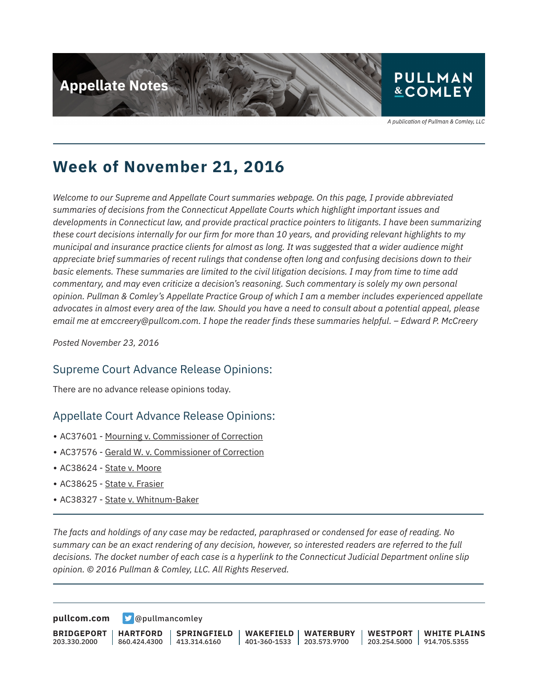

A publication of Pullman & Comley, LLC

## **Week of November 21, 2016**

*Welcome to our Supreme and Appellate Court summaries webpage. On this page, I provide abbreviated summaries of decisions from the Connecticut Appellate Courts which highlight important issues and developments in Connecticut law, and provide practical practice pointers to litigants. I have been summarizing these court decisions internally for our firm for more than 10 years, and providing relevant highlights to my municipal and insurance practice clients for almost as long. It was suggested that a wider audience might appreciate brief summaries of recent rulings that condense often long and confusing decisions down to their basic elements. These summaries are limited to the civil litigation decisions. I may from time to time add commentary, and may even criticize a decision's reasoning. Such commentary is solely my own personal opinion. Pullman & Comley's Appellate Practice Group of which I am a member includes experienced appellate advocates in almost every area of the law. Should you have a need to consult about a potential appeal, please email me at emccreery@pullcom.com. I hope the reader finds these summaries helpful. – Edward P. McCreery*

*Posted November 23, 2016*

#### Supreme Court Advance Release Opinions:

There are no advance release opinions today.

#### Appellate Court Advance Release Opinions:

- AC37601 Mourning v. Commissioner of Correction
- AC37576 Gerald W. v. Commissioner of Correction
- AC38624 State v. Moore
- AC38625 State v. Frasier

l

l

• AC38327 - State v. Whitnum-Baker

*The facts and holdings of any case may be redacted, paraphrased or condensed for ease of reading. No summary can be an exact rendering of any decision, however, so interested readers are referred to the full decisions. The docket number of each case is a hyperlink to the Connecticut Judicial Department online slip opinion. © 2016 Pullman & Comley, LLC. All Rights Reserved.*

**[pullcom.com](https://www.pullcom.com) g** [@pullmancomley](https://twitter.com/PullmanComley)

**BRIDGEPORT** 203.330.2000 **HARTFORD** 860.424.4300 **SPRINGFIELD**  $1413.314.6160$ **WAKEFIELD WATERBURY** 401-360-1533 203.573.9700 **WESTPORT WHITE PLAINS** 203.254.5000 914.705.5355